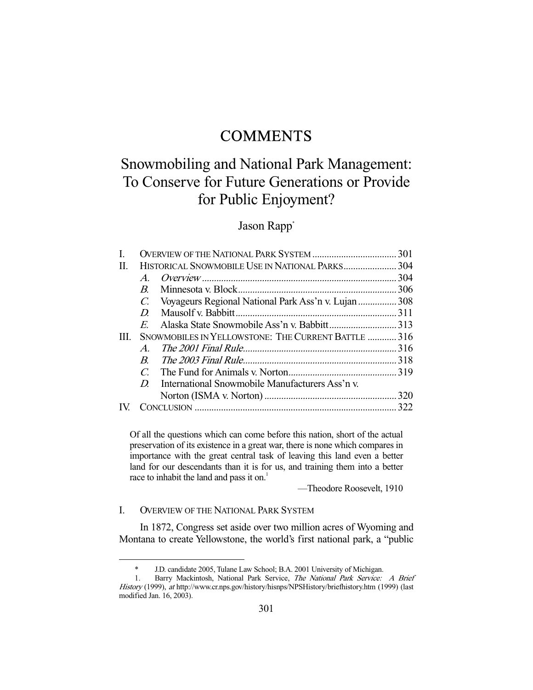# **COMMENTS**

# Snowmobiling and National Park Management: To Conserve for Future Generations or Provide for Public Enjoyment?

# Jason Rapp<sup>\*</sup>

| I. |                                                     |                                                      |  |
|----|-----------------------------------------------------|------------------------------------------------------|--|
| H. |                                                     |                                                      |  |
|    | $\bm{A}$                                            |                                                      |  |
|    | $\boldsymbol{B}$                                    |                                                      |  |
|    | $\mathcal{C}$ .                                     | Voyageurs Regional National Park Ass'n v. Lujan  308 |  |
|    | D                                                   |                                                      |  |
|    | E                                                   |                                                      |  |
| Ш  | SNOWMOBILES IN YELLOWSTONE: THE CURRENT BATTLE  316 |                                                      |  |
|    | $\mathcal{A}$                                       |                                                      |  |
|    | $\boldsymbol{B}$                                    |                                                      |  |
|    | $\mathcal{C}_{\mathcal{C}}$                         |                                                      |  |
|    | D                                                   | International Snowmobile Manufacturers Ass'n v.      |  |
|    |                                                     |                                                      |  |
|    |                                                     |                                                      |  |
|    |                                                     |                                                      |  |

Of all the questions which can come before this nation, short of the actual preservation of its existence in a great war, there is none which compares in importance with the great central task of leaving this land even a better land for our descendants than it is for us, and training them into a better race to inhabit the land and pass it on.<sup>1</sup>

—Theodore Roosevelt, 1910

# I. OVERVIEW OF THE NATIONAL PARK SYSTEM

-

 In 1872, Congress set aside over two million acres of Wyoming and Montana to create Yellowstone, the world's first national park, a "public

 <sup>\*</sup> J.D. candidate 2005, Tulane Law School; B.A. 2001 University of Michigan.

<sup>1.</sup> Barry Mackintosh, National Park Service, The National Park Service: A Brief History (1999), at http://www.cr.nps.gov/history/hisnps/NPSHistory/briefhistory.htm (1999) (last modified Jan. 16, 2003).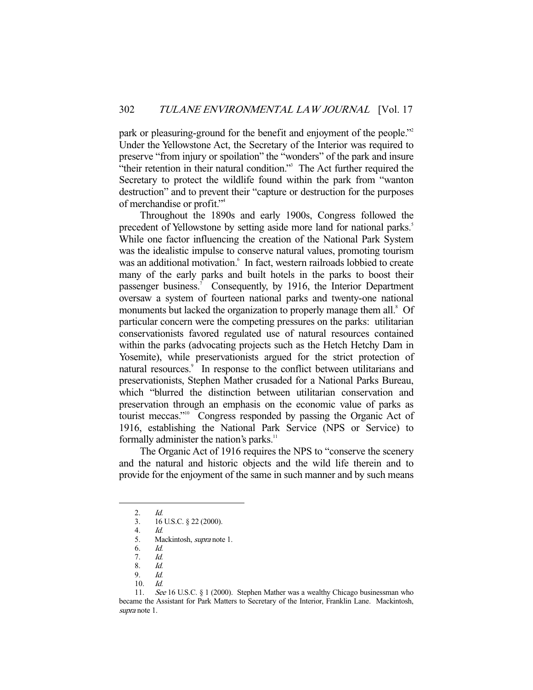park or pleasuring-ground for the benefit and enjoyment of the people."2 Under the Yellowstone Act, the Secretary of the Interior was required to preserve "from injury or spoilation" the "wonders" of the park and insure "their retention in their natural condition."<sup>3</sup> The Act further required the Secretary to protect the wildlife found within the park from "wanton destruction" and to prevent their "capture or destruction for the purposes of merchandise or profit."4

 Throughout the 1890s and early 1900s, Congress followed the precedent of Yellowstone by setting aside more land for national parks.<sup>5</sup> While one factor influencing the creation of the National Park System was the idealistic impulse to conserve natural values, promoting tourism was an additional motivation.<sup>6</sup> In fact, western railroads lobbied to create many of the early parks and built hotels in the parks to boost their passenger business.<sup>7</sup> Consequently, by 1916, the Interior Department oversaw a system of fourteen national parks and twenty-one national monuments but lacked the organization to properly manage them all.<sup>8</sup> Of particular concern were the competing pressures on the parks: utilitarian conservationists favored regulated use of natural resources contained within the parks (advocating projects such as the Hetch Hetchy Dam in Yosemite), while preservationists argued for the strict protection of natural resources.<sup>9</sup> In response to the conflict between utilitarians and preservationists, Stephen Mather crusaded for a National Parks Bureau, which "blurred the distinction between utilitarian conservation and preservation through an emphasis on the economic value of parks as tourist meccas."10 Congress responded by passing the Organic Act of 1916, establishing the National Park Service (NPS or Service) to formally administer the nation's parks.<sup>11</sup>

 The Organic Act of 1916 requires the NPS to "conserve the scenery and the natural and historic objects and the wild life therein and to provide for the enjoyment of the same in such manner and by such means

 <sup>2.</sup> Id.

 <sup>3. 16</sup> U.S.C. § 22 (2000).

 <sup>4.</sup> Id.

 <sup>5.</sup> Mackintosh, supra note 1.

 <sup>6.</sup> Id.

 <sup>7.</sup> Id.

 <sup>8.</sup> Id.

 <sup>9.</sup> Id.

 <sup>10.</sup> Id.

 <sup>11.</sup> See 16 U.S.C. § 1 (2000). Stephen Mather was a wealthy Chicago businessman who became the Assistant for Park Matters to Secretary of the Interior, Franklin Lane. Mackintosh, supra note 1.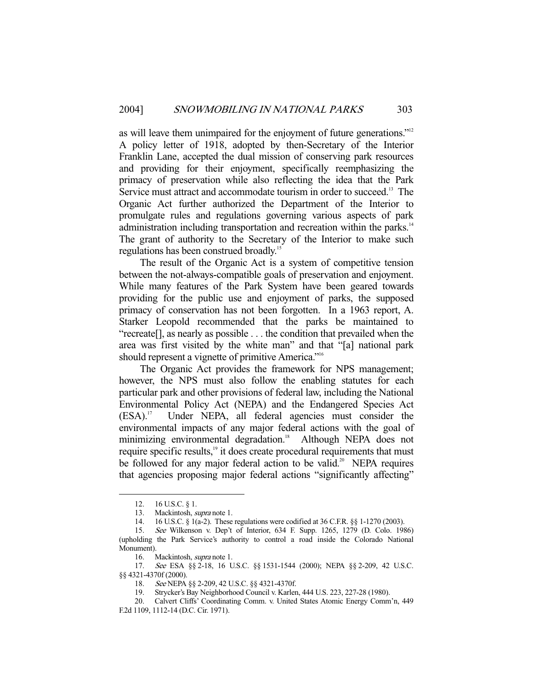as will leave them unimpaired for the enjoyment of future generations."<sup>12</sup> A policy letter of 1918, adopted by then-Secretary of the Interior Franklin Lane, accepted the dual mission of conserving park resources and providing for their enjoyment, specifically reemphasizing the primacy of preservation while also reflecting the idea that the Park Service must attract and accommodate tourism in order to succeed.<sup>13</sup> The Organic Act further authorized the Department of the Interior to promulgate rules and regulations governing various aspects of park administration including transportation and recreation within the parks.<sup>14</sup> The grant of authority to the Secretary of the Interior to make such regulations has been construed broadly.<sup>15</sup>

 The result of the Organic Act is a system of competitive tension between the not-always-compatible goals of preservation and enjoyment. While many features of the Park System have been geared towards providing for the public use and enjoyment of parks, the supposed primacy of conservation has not been forgotten. In a 1963 report, A. Starker Leopold recommended that the parks be maintained to "recreate[], as nearly as possible . . . the condition that prevailed when the area was first visited by the white man" and that "[a] national park should represent a vignette of primitive America."<sup>16</sup>

 The Organic Act provides the framework for NPS management; however, the NPS must also follow the enabling statutes for each particular park and other provisions of federal law, including the National Environmental Policy Act (NEPA) and the Endangered Species Act (ESA).17 Under NEPA, all federal agencies must consider the environmental impacts of any major federal actions with the goal of minimizing environmental degradation.<sup>18</sup> Although NEPA does not require specific results,<sup>19</sup> it does create procedural requirements that must be followed for any major federal action to be valid.<sup>20</sup> NEPA requires that agencies proposing major federal actions "significantly affecting"

 <sup>12. 16</sup> U.S.C. § 1.

 <sup>13.</sup> Mackintosh, supra note 1.

 <sup>14. 16</sup> U.S.C. § 1(a-2). These regulations were codified at 36 C.F.R. §§ 1-1270 (2003).

 <sup>15.</sup> See Wilkenson v. Dep't of Interior, 634 F. Supp. 1265, 1279 (D. Colo. 1986) (upholding the Park Service's authority to control a road inside the Colorado National Monument).

 <sup>16.</sup> Mackintosh, supra note 1.

<sup>17.</sup> See ESA §§ 2-18, 16 U.S.C. §§ 1531-1544 (2000); NEPA §§ 2-209, 42 U.S.C. §§ 4321-4370f (2000).

<sup>18.</sup> See NEPA §§ 2-209, 42 U.S.C. §§ 4321-4370f.<br>19. Strycker's Bay Neighborhood Council v. Karler

 <sup>19.</sup> Strycker's Bay Neighborhood Council v. Karlen, 444 U.S. 223, 227-28 (1980).

 <sup>20.</sup> Calvert Cliffs' Coordinating Comm. v. United States Atomic Energy Comm'n, 449 F.2d 1109, 1112-14 (D.C. Cir. 1971).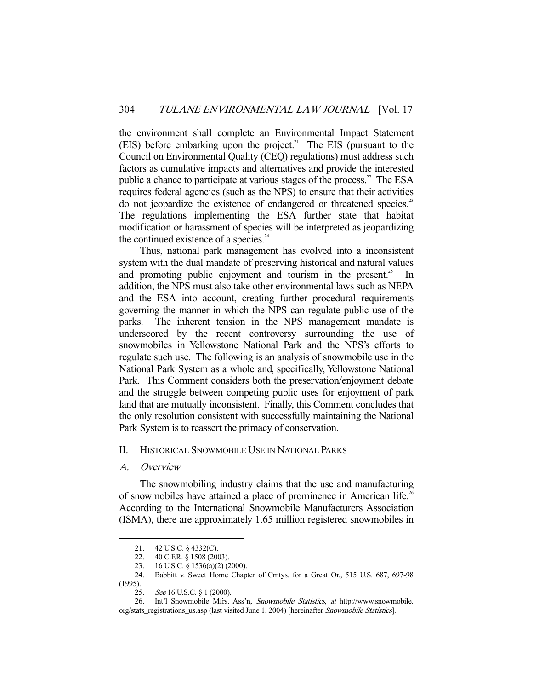the environment shall complete an Environmental Impact Statement (EIS) before embarking upon the project.<sup>21</sup> The EIS (pursuant to the Council on Environmental Quality (CEQ) regulations) must address such factors as cumulative impacts and alternatives and provide the interested public a chance to participate at various stages of the process.<sup>22</sup> The ESA requires federal agencies (such as the NPS) to ensure that their activities do not jeopardize the existence of endangered or threatened species.<sup>23</sup> The regulations implementing the ESA further state that habitat modification or harassment of species will be interpreted as jeopardizing the continued existence of a species. $24$ 

 Thus, national park management has evolved into a inconsistent system with the dual mandate of preserving historical and natural values and promoting public enjoyment and tourism in the present.<sup>25</sup> In addition, the NPS must also take other environmental laws such as NEPA and the ESA into account, creating further procedural requirements governing the manner in which the NPS can regulate public use of the parks. The inherent tension in the NPS management mandate is underscored by the recent controversy surrounding the use of snowmobiles in Yellowstone National Park and the NPS's efforts to regulate such use. The following is an analysis of snowmobile use in the National Park System as a whole and, specifically, Yellowstone National Park. This Comment considers both the preservation/enjoyment debate and the struggle between competing public uses for enjoyment of park land that are mutually inconsistent. Finally, this Comment concludes that the only resolution consistent with successfully maintaining the National Park System is to reassert the primacy of conservation.

# II. HISTORICAL SNOWMOBILE USE IN NATIONAL PARKS

#### A. Overview

-

 The snowmobiling industry claims that the use and manufacturing of snowmobiles have attained a place of prominence in American life.<sup>26</sup> According to the International Snowmobile Manufacturers Association (ISMA), there are approximately 1.65 million registered snowmobiles in

 <sup>21. 42</sup> U.S.C. § 4332(C).

<sup>22. 40</sup> C.F.R. § 1508 (2003).

 <sup>23. 16</sup> U.S.C. § 1536(a)(2) (2000).

 <sup>24.</sup> Babbitt v. Sweet Home Chapter of Cmtys. for a Great Or., 515 U.S. 687, 697-98 (1995).

 <sup>25.</sup> See 16 U.S.C. § 1 (2000).

 <sup>26.</sup> Int'l Snowmobile Mfrs. Ass'n, Snowmobile Statistics, at http://www.snowmobile. org/stats\_registrations\_us.asp (last visited June 1, 2004) [hereinafter Snowmobile Statistics].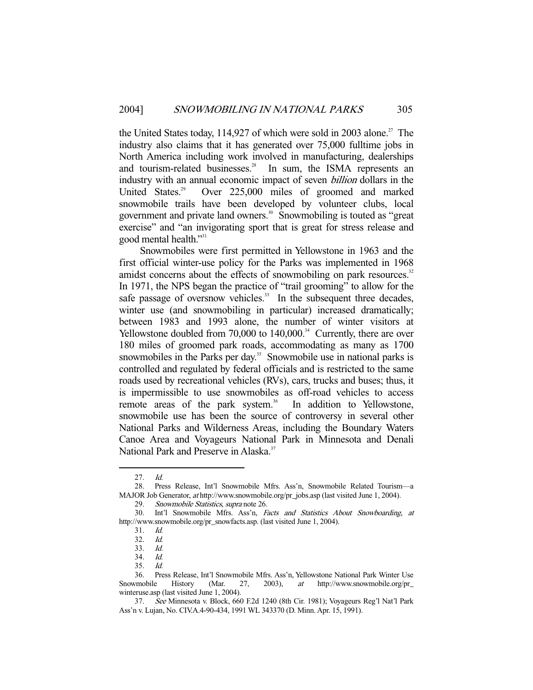the United States today,  $114,927$  of which were sold in 2003 alone.<sup>27</sup> The industry also claims that it has generated over 75,000 fulltime jobs in North America including work involved in manufacturing, dealerships and tourism-related businesses.<sup>28</sup> In sum, the ISMA represents an industry with an annual economic impact of seven billion dollars in the United States.<sup>29</sup> Over 225,000 miles of groomed and marked snowmobile trails have been developed by volunteer clubs, local government and private land owners.<sup>30</sup> Snowmobiling is touted as "great exercise" and "an invigorating sport that is great for stress release and good mental health."<sup>31</sup>

 Snowmobiles were first permitted in Yellowstone in 1963 and the first official winter-use policy for the Parks was implemented in 1968 amidst concerns about the effects of snowmobiling on park resources.<sup>32</sup> In 1971, the NPS began the practice of "trail grooming" to allow for the safe passage of oversnow vehicles.<sup>33</sup> In the subsequent three decades, winter use (and snowmobiling in particular) increased dramatically; between 1983 and 1993 alone, the number of winter visitors at Yellowstone doubled from  $70,000$  to  $140,000$ .<sup>34</sup> Currently, there are over 180 miles of groomed park roads, accommodating as many as 1700 snowmobiles in the Parks per day.<sup>35</sup> Snowmobile use in national parks is controlled and regulated by federal officials and is restricted to the same roads used by recreational vehicles (RVs), cars, trucks and buses; thus, it is impermissible to use snowmobiles as off-road vehicles to access remote areas of the park system.<sup>36</sup> In addition to Yellowstone, snowmobile use has been the source of controversy in several other National Parks and Wilderness Areas, including the Boundary Waters Canoe Area and Voyageurs National Park in Minnesota and Denali National Park and Preserve in Alaska.<sup>37</sup>

 <sup>27.</sup> Id.

 <sup>28.</sup> Press Release, Int'l Snowmobile Mfrs. Ass'n, Snowmobile Related Tourism—a MAJOR Job Generator, at http://www.snowmobile.org/pr\_jobs.asp (last visited June 1, 2004).

 <sup>29.</sup> Snowmobile Statistics, supra note 26.

 <sup>30.</sup> Int'l Snowmobile Mfrs. Ass'n, Facts and Statistics About Snowboarding, at http://www.snowmobile.org/pr\_snowfacts.asp. (last visited June 1, 2004).

 <sup>31.</sup> Id.

<sup>32.</sup> *Id.*<br>33. *Id.* 

 $33.$ 

 <sup>34.</sup> Id.

 <sup>35.</sup> Id.

 <sup>36.</sup> Press Release, Int'l Snowmobile Mfrs. Ass'n, Yellowstone National Park Winter Use Snowmobile History (Mar. 27, 2003), at http://www.snowmobile.org/pr\_ winteruse.asp (last visited June 1, 2004).

 <sup>37.</sup> See Minnesota v. Block, 660 F.2d 1240 (8th Cir. 1981); Voyageurs Reg'l Nat'l Park Ass'n v. Lujan, No. CIV.A.4-90-434, 1991 WL 343370 (D. Minn. Apr. 15, 1991).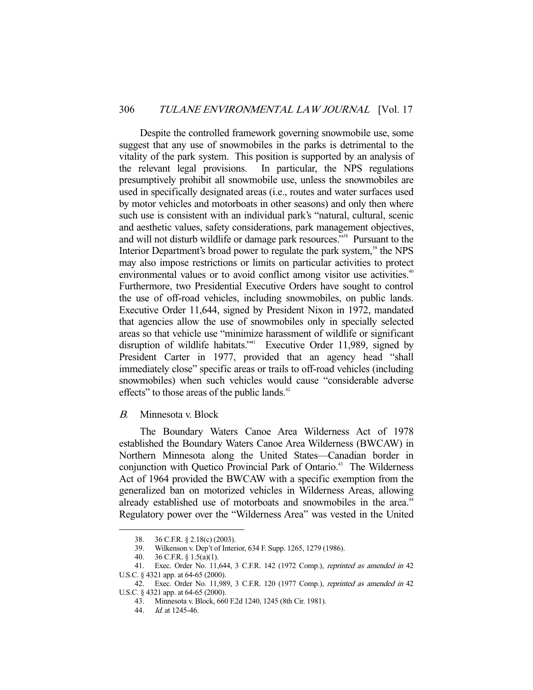Despite the controlled framework governing snowmobile use, some suggest that any use of snowmobiles in the parks is detrimental to the vitality of the park system. This position is supported by an analysis of the relevant legal provisions. In particular, the NPS regulations presumptively prohibit all snowmobile use, unless the snowmobiles are used in specifically designated areas (i.e., routes and water surfaces used by motor vehicles and motorboats in other seasons) and only then where such use is consistent with an individual park's "natural, cultural, scenic and aesthetic values, safety considerations, park management objectives, and will not disturb wildlife or damage park resources."<sup>38</sup> Pursuant to the Interior Department's broad power to regulate the park system,<sup>39</sup> the NPS may also impose restrictions or limits on particular activities to protect environmental values or to avoid conflict among visitor use activities.<sup>40</sup> Furthermore, two Presidential Executive Orders have sought to control the use of off-road vehicles, including snowmobiles, on public lands. Executive Order 11,644, signed by President Nixon in 1972, mandated that agencies allow the use of snowmobiles only in specially selected areas so that vehicle use "minimize harassment of wildlife or significant disruption of wildlife habitats."<sup>41</sup> Executive Order 11,989, signed by President Carter in 1977, provided that an agency head "shall immediately close" specific areas or trails to off-road vehicles (including snowmobiles) when such vehicles would cause "considerable adverse effects" to those areas of the public lands. $42$ 

B. Minnesota v. Block

 The Boundary Waters Canoe Area Wilderness Act of 1978 established the Boundary Waters Canoe Area Wilderness (BWCAW) in Northern Minnesota along the United States—Canadian border in conjunction with Quetico Provincial Park of Ontario.<sup>43</sup> The Wilderness Act of 1964 provided the BWCAW with a specific exemption from the generalized ban on motorized vehicles in Wilderness Areas, allowing already established use of motorboats and snowmobiles in the area.<sup>44</sup> Regulatory power over the "Wilderness Area" was vested in the United

 <sup>38. 36</sup> C.F.R. § 2.18(c) (2003).

 <sup>39.</sup> Wilkenson v. Dep't of Interior, 634 F. Supp. 1265, 1279 (1986).

 <sup>40. 36</sup> C.F.R. § 1.5(a)(1).

<sup>41.</sup> Exec. Order No. 11,644, 3 C.F.R. 142 (1972 Comp.), reprinted as amended in 42 U.S.C. § 4321 app. at 64-65 (2000).

<sup>42.</sup> Exec. Order No. 11,989, 3 C.F.R. 120 (1977 Comp.), reprinted as amended in 42 U.S.C. § 4321 app. at 64-65 (2000).

 <sup>43.</sup> Minnesota v. Block, 660 F.2d 1240, 1245 (8th Cir. 1981).

 <sup>44.</sup> Id. at 1245-46.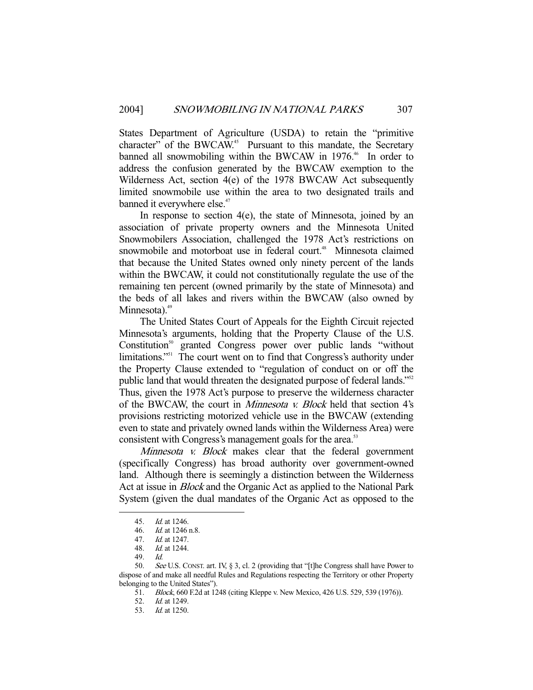States Department of Agriculture (USDA) to retain the "primitive character" of the BWCAW.<sup>45</sup> Pursuant to this mandate, the Secretary banned all snowmobiling within the BWCAW in 1976.<sup>46</sup> In order to address the confusion generated by the BWCAW exemption to the Wilderness Act, section 4(e) of the 1978 BWCAW Act subsequently limited snowmobile use within the area to two designated trails and banned it everywhere else.<sup>47</sup>

 In response to section 4(e), the state of Minnesota, joined by an association of private property owners and the Minnesota United Snowmobilers Association, challenged the 1978 Act's restrictions on snowmobile and motorboat use in federal court.<sup>48</sup> Minnesota claimed that because the United States owned only ninety percent of the lands within the BWCAW, it could not constitutionally regulate the use of the remaining ten percent (owned primarily by the state of Minnesota) and the beds of all lakes and rivers within the BWCAW (also owned by Minnesota). $49$ 

 The United States Court of Appeals for the Eighth Circuit rejected Minnesota's arguments, holding that the Property Clause of the U.S. Constitution<sup>50</sup> granted Congress power over public lands "without limitations."51 The court went on to find that Congress's authority under the Property Clause extended to "regulation of conduct on or off the public land that would threaten the designated purpose of federal lands."<sup>52</sup> Thus, given the 1978 Act's purpose to preserve the wilderness character of the BWCAW, the court in Minnesota v. Block held that section 4's provisions restricting motorized vehicle use in the BWCAW (extending even to state and privately owned lands within the Wilderness Area) were consistent with Congress's management goals for the area.<sup>53</sup>

Minnesota v. Block makes clear that the federal government (specifically Congress) has broad authority over government-owned land. Although there is seemingly a distinction between the Wilderness Act at issue in Block and the Organic Act as applied to the National Park System (given the dual mandates of the Organic Act as opposed to the

 <sup>45.</sup> Id. at 1246.

 <sup>46.</sup> Id. at 1246 n.8.

<sup>47.</sup> *Id.* at 1247.<br>48. *Id.* at 1244.

 $Id.$  at 1244.

 <sup>49.</sup> Id.

 <sup>50.</sup> See U.S. CONST. art. IV, § 3, cl. 2 (providing that "[t]he Congress shall have Power to dispose of and make all needful Rules and Regulations respecting the Territory or other Property belonging to the United States").

 <sup>51.</sup> Block, 660 F.2d at 1248 (citing Kleppe v. New Mexico, 426 U.S. 529, 539 (1976)).

 <sup>52.</sup> Id. at 1249.

 <sup>53.</sup> Id. at 1250.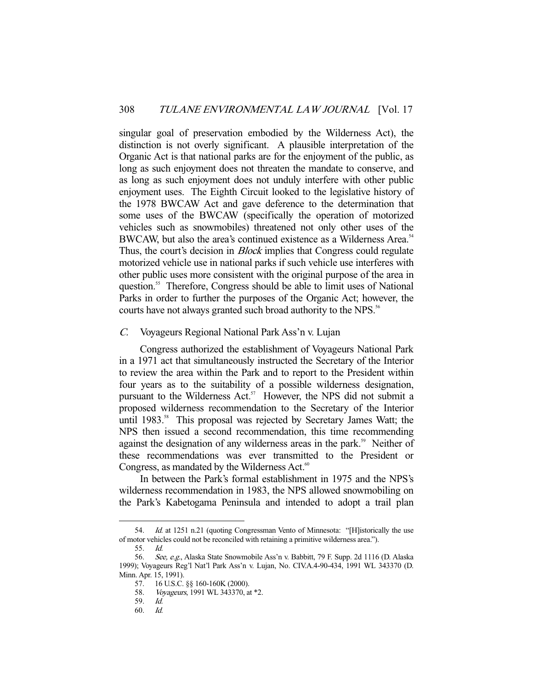singular goal of preservation embodied by the Wilderness Act), the distinction is not overly significant. A plausible interpretation of the Organic Act is that national parks are for the enjoyment of the public, as long as such enjoyment does not threaten the mandate to conserve, and as long as such enjoyment does not unduly interfere with other public enjoyment uses. The Eighth Circuit looked to the legislative history of the 1978 BWCAW Act and gave deference to the determination that some uses of the BWCAW (specifically the operation of motorized vehicles such as snowmobiles) threatened not only other uses of the BWCAW, but also the area's continued existence as a Wilderness Area.<sup>54</sup> Thus, the court's decision in *Block* implies that Congress could regulate motorized vehicle use in national parks if such vehicle use interferes with other public uses more consistent with the original purpose of the area in question.55 Therefore, Congress should be able to limit uses of National Parks in order to further the purposes of the Organic Act; however, the courts have not always granted such broad authority to the NPS.<sup>56</sup>

#### C. Voyageurs Regional National Park Ass'n v. Lujan

 Congress authorized the establishment of Voyageurs National Park in a 1971 act that simultaneously instructed the Secretary of the Interior to review the area within the Park and to report to the President within four years as to the suitability of a possible wilderness designation, pursuant to the Wilderness Act.<sup>57</sup> However, the NPS did not submit a proposed wilderness recommendation to the Secretary of the Interior until 1983.<sup>58</sup> This proposal was rejected by Secretary James Watt; the NPS then issued a second recommendation, this time recommending against the designation of any wilderness areas in the park.<sup>59</sup> Neither of these recommendations was ever transmitted to the President or Congress, as mandated by the Wilderness Act. $\degree$ 

 In between the Park's formal establishment in 1975 and the NPS's wilderness recommendation in 1983, the NPS allowed snowmobiling on the Park's Kabetogama Peninsula and intended to adopt a trail plan

<sup>54.</sup> Id. at 1251 n.21 (quoting Congressman Vento of Minnesota: "[H]istorically the use of motor vehicles could not be reconciled with retaining a primitive wilderness area.").

 <sup>55.</sup> Id.

<sup>56.</sup> See, e.g., Alaska State Snowmobile Ass'n v. Babbitt, 79 F. Supp. 2d 1116 (D. Alaska 1999); Voyageurs Reg'l Nat'l Park Ass'n v. Lujan, No. CIV.A.4-90-434, 1991 WL 343370 (D. Minn. Apr. 15, 1991).

 <sup>57. 16</sup> U.S.C. §§ 160-160K (2000).

<sup>58.</sup> *Voyageurs*, 1991 WL 343370, at \*2.

 <sup>59.</sup> Id.

 <sup>60.</sup> Id.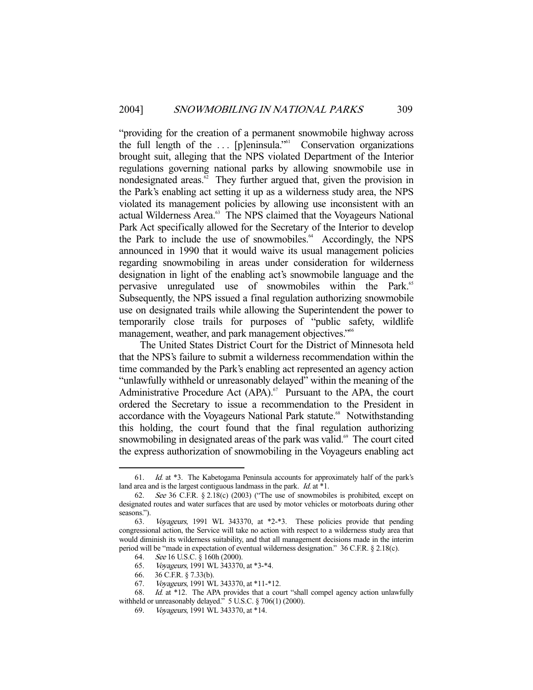"providing for the creation of a permanent snowmobile highway across the full length of the ... [p]eninsula."<sup>61</sup> Conservation organizations brought suit, alleging that the NPS violated Department of the Interior regulations governing national parks by allowing snowmobile use in nondesignated areas. $62$  They further argued that, given the provision in the Park's enabling act setting it up as a wilderness study area, the NPS violated its management policies by allowing use inconsistent with an actual Wilderness Area.<sup>63</sup> The NPS claimed that the Voyageurs National Park Act specifically allowed for the Secretary of the Interior to develop the Park to include the use of snowmobiles.<sup>64</sup> Accordingly, the NPS announced in 1990 that it would waive its usual management policies regarding snowmobiling in areas under consideration for wilderness designation in light of the enabling act's snowmobile language and the pervasive unregulated use of snowmobiles within the Park.<sup>65</sup> Subsequently, the NPS issued a final regulation authorizing snowmobile use on designated trails while allowing the Superintendent the power to temporarily close trails for purposes of "public safety, wildlife management, weather, and park management objectives."<sup>66</sup>

 The United States District Court for the District of Minnesota held that the NPS's failure to submit a wilderness recommendation within the time commanded by the Park's enabling act represented an agency action "unlawfully withheld or unreasonably delayed" within the meaning of the Administrative Procedure Act  $(APA)$ .<sup>67</sup> Pursuant to the APA, the court ordered the Secretary to issue a recommendation to the President in accordance with the Voyageurs National Park statute.<sup>68</sup> Notwithstanding this holding, the court found that the final regulation authorizing snowmobiling in designated areas of the park was valid.<sup>69</sup> The court cited the express authorization of snowmobiling in the Voyageurs enabling act

-

67. *Voyageurs*, 1991 WL 343370, at \*11-\*12.<br>68. *Id.* at \*12. The APA provides that a con-

 <sup>61.</sup> Id. at \*3. The Kabetogama Peninsula accounts for approximately half of the park's land area and is the largest contiguous landmass in the park. *Id.* at \*1.

 <sup>62.</sup> See 36 C.F.R. § 2.18(c) (2003) ("The use of snowmobiles is prohibited, except on designated routes and water surfaces that are used by motor vehicles or motorboats during other seasons.").

 <sup>63.</sup> Voyageurs, 1991 WL 343370, at \*2-\*3. These policies provide that pending congressional action, the Service will take no action with respect to a wilderness study area that would diminish its wilderness suitability, and that all management decisions made in the interim period will be "made in expectation of eventual wilderness designation." 36 C.F.R. § 2.18(c).

 <sup>64.</sup> See 16 U.S.C. § 160h (2000).

 <sup>65.</sup> Voyageurs, 1991 WL 343370, at \*3-\*4.

 <sup>66. 36</sup> C.F.R. § 7.33(b).

 $Id.$  at  $*12$ . The APA provides that a court "shall compel agency action unlawfully withheld or unreasonably delayed." 5 U.S.C. § 706(1) (2000).

 <sup>69.</sup> Voyageurs, 1991 WL 343370, at \*14.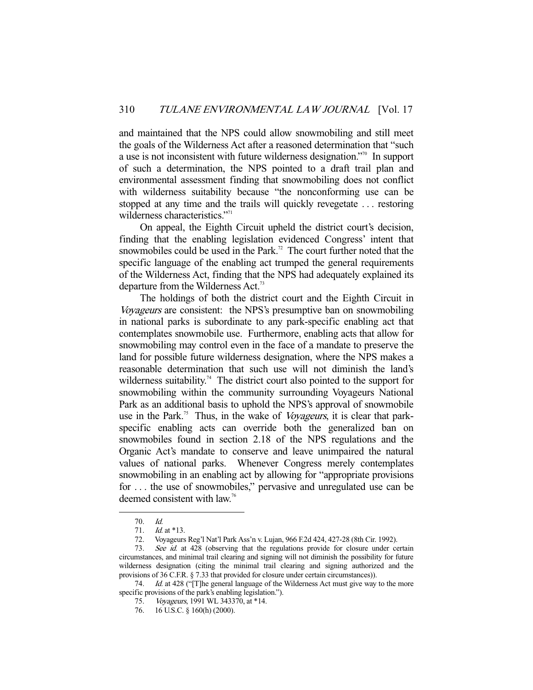and maintained that the NPS could allow snowmobiling and still meet the goals of the Wilderness Act after a reasoned determination that "such a use is not inconsistent with future wilderness designation."70 In support of such a determination, the NPS pointed to a draft trail plan and environmental assessment finding that snowmobiling does not conflict with wilderness suitability because "the nonconforming use can be stopped at any time and the trails will quickly revegetate . . . restoring wilderness characteristics."<sup>71</sup>

 On appeal, the Eighth Circuit upheld the district court's decision, finding that the enabling legislation evidenced Congress' intent that snowmobiles could be used in the Park.<sup>72</sup> The court further noted that the specific language of the enabling act trumped the general requirements of the Wilderness Act, finding that the NPS had adequately explained its departure from the Wilderness Act.<sup>73</sup>

 The holdings of both the district court and the Eighth Circuit in Voyageurs are consistent: the NPS's presumptive ban on snowmobiling in national parks is subordinate to any park-specific enabling act that contemplates snowmobile use. Furthermore, enabling acts that allow for snowmobiling may control even in the face of a mandate to preserve the land for possible future wilderness designation, where the NPS makes a reasonable determination that such use will not diminish the land's wilderness suitability.<sup>74</sup> The district court also pointed to the support for snowmobiling within the community surrounding Voyageurs National Park as an additional basis to uphold the NPS's approval of snowmobile use in the Park.<sup>75</sup> Thus, in the wake of *Voyageurs*, it is clear that parkspecific enabling acts can override both the generalized ban on snowmobiles found in section 2.18 of the NPS regulations and the Organic Act's mandate to conserve and leave unimpaired the natural values of national parks. Whenever Congress merely contemplates snowmobiling in an enabling act by allowing for "appropriate provisions for . . . the use of snowmobiles," pervasive and unregulated use can be deemed consistent with law.<sup>76</sup>

 <sup>70.</sup> Id.

 <sup>71.</sup> Id. at \*13.

 <sup>72.</sup> Voyageurs Reg'l Nat'l Park Ass'n v. Lujan, 966 F.2d 424, 427-28 (8th Cir. 1992).

<sup>73.</sup> See id. at 428 (observing that the regulations provide for closure under certain circumstances, and minimal trail clearing and signing will not diminish the possibility for future wilderness designation (citing the minimal trail clearing and signing authorized and the provisions of 36 C.F.R. § 7.33 that provided for closure under certain circumstances)).

<sup>74.</sup> *Id.* at 428 ("[T]he general language of the Wilderness Act must give way to the more specific provisions of the park's enabling legislation.").

 <sup>75.</sup> Voyageurs, 1991 WL 343370, at \*14.

 <sup>76. 16</sup> U.S.C. § 160(h) (2000).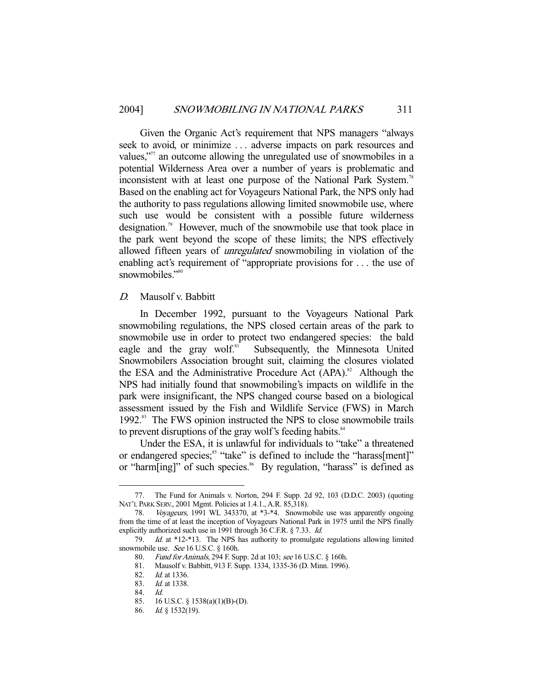Given the Organic Act's requirement that NPS managers "always seek to avoid, or minimize . . . adverse impacts on park resources and values," $\frac{m}{n}$  an outcome allowing the unregulated use of snowmobiles in a potential Wilderness Area over a number of years is problematic and inconsistent with at least one purpose of the National Park System.<sup>78</sup> Based on the enabling act for Voyageurs National Park, the NPS only had the authority to pass regulations allowing limited snowmobile use, where such use would be consistent with a possible future wilderness designation.<sup>79</sup> However, much of the snowmobile use that took place in the park went beyond the scope of these limits; the NPS effectively allowed fifteen years of *unregulated* snowmobiling in violation of the enabling act's requirement of "appropriate provisions for . . . the use of snowmobiles."<sup>80</sup>

#### D. Mausolf v. Babbitt

 In December 1992, pursuant to the Voyageurs National Park snowmobiling regulations, the NPS closed certain areas of the park to snowmobile use in order to protect two endangered species: the bald eagle and the gray wolf.<sup>81</sup> Subsequently, the Minnesota United Snowmobilers Association brought suit, claiming the closures violated the ESA and the Administrative Procedure Act  $(APA).<sup>82</sup>$  Although the NPS had initially found that snowmobiling's impacts on wildlife in the park were insignificant, the NPS changed course based on a biological assessment issued by the Fish and Wildlife Service (FWS) in March 1992.83 The FWS opinion instructed the NPS to close snowmobile trails to prevent disruptions of the gray wolf's feeding habits.<sup>84</sup>

 Under the ESA, it is unlawful for individuals to "take" a threatened or endangered species;<sup>85</sup> "take" is defined to include the "harass[ment]" or "harm[ing]" of such species.<sup>86</sup> By regulation, "harass" is defined as

 <sup>77.</sup> The Fund for Animals v. Norton, 294 F. Supp. 2d 92, 103 (D.D.C. 2003) (quoting NAT'L PARK SERV., 2001 Mgmt. Policies at 1.4.1., A.R. 85,318).

 <sup>78.</sup> Voyageurs, 1991 WL 343370, at \*3-\*4. Snowmobile use was apparently ongoing from the time of at least the inception of Voyageurs National Park in 1975 until the NPS finally explicitly authorized such use in 1991 through 36 C.F.R. § 7.33. Id.

 <sup>79.</sup> Id. at \*12-\*13. The NPS has authority to promulgate regulations allowing limited snowmobile use. See 16 U.S.C. § 160h.

 <sup>80.</sup> Fund for Animals, 294 F. Supp. 2d at 103; see 16 U.S.C. § 160h.

<sup>81.</sup> Mausolf v. Babbitt, 913 F. Supp. 1334, 1335-36 (D. Minn. 1996).<br>82. Id. at 1336.

*Id.* at 1336.

<sup>83.</sup> *Id.* at 1338.

 <sup>84.</sup> Id.

 <sup>85. 16</sup> U.S.C. § 1538(a)(1)(B)-(D).

 <sup>86.</sup> Id. § 1532(19).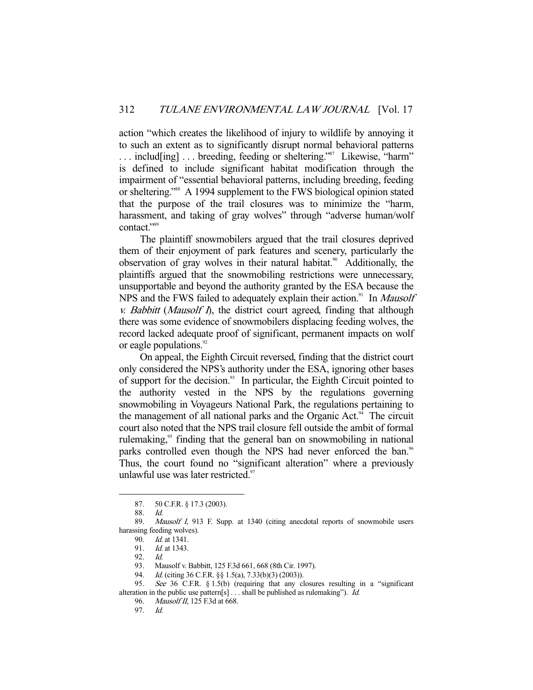action "which creates the likelihood of injury to wildlife by annoying it to such an extent as to significantly disrupt normal behavioral patterns ... includ[ing] ... breeding, feeding or sheltering."<sup>87</sup> Likewise, "harm" is defined to include significant habitat modification through the impairment of "essential behavioral patterns, including breeding, feeding or sheltering."88 A 1994 supplement to the FWS biological opinion stated that the purpose of the trail closures was to minimize the "harm, harassment, and taking of gray wolves" through "adverse human/wolf contact."<sup>89</sup>

 The plaintiff snowmobilers argued that the trail closures deprived them of their enjoyment of park features and scenery, particularly the observation of gray wolves in their natural habitat.<sup>90</sup> Additionally, the plaintiffs argued that the snowmobiling restrictions were unnecessary, unsupportable and beyond the authority granted by the ESA because the NPS and the FWS failed to adequately explain their action.<sup>91</sup> In *Mausolf* v. Babbitt (Mausolf I), the district court agreed, finding that although there was some evidence of snowmobilers displacing feeding wolves, the record lacked adequate proof of significant, permanent impacts on wolf or eagle populations.<sup>92</sup>

 On appeal, the Eighth Circuit reversed, finding that the district court only considered the NPS's authority under the ESA, ignoring other bases of support for the decision.<sup>93</sup> In particular, the Eighth Circuit pointed to the authority vested in the NPS by the regulations governing snowmobiling in Voyageurs National Park, the regulations pertaining to the management of all national parks and the Organic Act.<sup>94</sup> The circuit court also noted that the NPS trail closure fell outside the ambit of formal rulemaking, $\frac{95}{5}$  finding that the general ban on snowmobiling in national parks controlled even though the NPS had never enforced the ban.<sup>96</sup> Thus, the court found no "significant alteration" where a previously unlawful use was later restricted. $97$ 

 <sup>87. 50</sup> C.F.R. § 17.3 (2003).

 <sup>88.</sup> Id.

 <sup>89.</sup> Mausolf I, 913 F. Supp. at 1340 (citing anecdotal reports of snowmobile users harassing feeding wolves).

<sup>90.</sup> *Id.* at 1341.<br>91. *Id.* at 1343.

Id. at 1343.

 <sup>92.</sup> Id.

 <sup>93.</sup> Mausolf v. Babbitt, 125 F.3d 661, 668 (8th Cir. 1997).

<sup>94.</sup> *Id.* (citing 36 C.F.R. §§ 1.5(a), 7.33(b)(3) (2003)).

 <sup>95.</sup> See 36 C.F.R. § 1.5(b) (requiring that any closures resulting in a "significant alteration in the public use pattern[s] . . . shall be published as rulemaking"). Id.

 <sup>96.</sup> Mausolf II, 125 F.3d at 668.

 <sup>97.</sup> Id.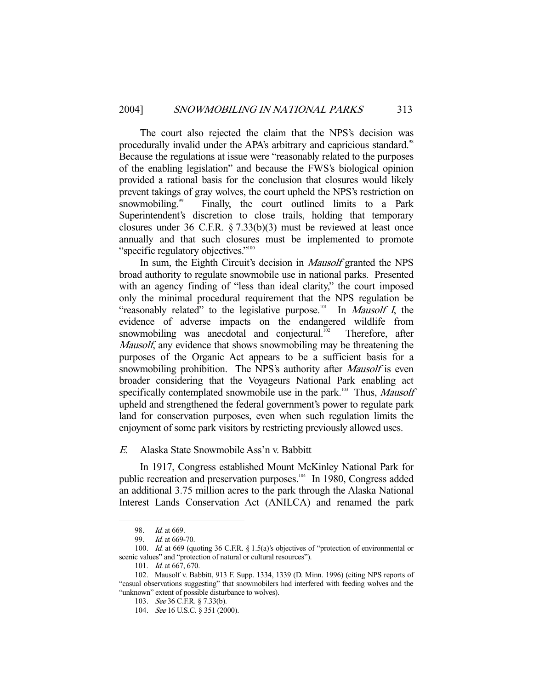The court also rejected the claim that the NPS's decision was procedurally invalid under the APA's arbitrary and capricious standard.<sup>98</sup> Because the regulations at issue were "reasonably related to the purposes of the enabling legislation" and because the FWS's biological opinion provided a rational basis for the conclusion that closures would likely prevent takings of gray wolves, the court upheld the NPS's restriction on snowmobiling.<sup>99</sup> Finally, the court outlined limits to a Park Superintendent's discretion to close trails, holding that temporary closures under 36 C.F.R. § 7.33(b)(3) must be reviewed at least once annually and that such closures must be implemented to promote "specific regulatory objectives."<sup>100</sup>

In sum, the Eighth Circuit's decision in *Mausolf* granted the NPS broad authority to regulate snowmobile use in national parks. Presented with an agency finding of "less than ideal clarity," the court imposed only the minimal procedural requirement that the NPS regulation be "reasonably related" to the legislative purpose.<sup>101</sup> In *Mausolf I*, the evidence of adverse impacts on the endangered wildlife from snowmobiling was anecdotal and conjectural.<sup>102</sup> Therefore, after Mausolf, any evidence that shows snowmobiling may be threatening the purposes of the Organic Act appears to be a sufficient basis for a snowmobiling prohibition. The NPS's authority after *Mausolf* is even broader considering that the Voyageurs National Park enabling act specifically contemplated snowmobile use in the park.<sup>103</sup> Thus, Mausolf upheld and strengthened the federal government's power to regulate park land for conservation purposes, even when such regulation limits the enjoyment of some park visitors by restricting previously allowed uses.

## E. Alaska State Snowmobile Ass'n v. Babbitt

 In 1917, Congress established Mount McKinley National Park for public recreation and preservation purposes.<sup>104</sup> In 1980, Congress added an additional 3.75 million acres to the park through the Alaska National Interest Lands Conservation Act (ANILCA) and renamed the park

<sup>98.</sup> *Id.* at 669.<br>99 *Id at* 669.

 $Id.$  at 669-70.

<sup>100.</sup> Id. at 669 (quoting 36 C.F.R. § 1.5(a)'s objectives of "protection of environmental or scenic values" and "protection of natural or cultural resources").

<sup>101.</sup> *Id.* at 667, 670.

 <sup>102.</sup> Mausolf v. Babbitt, 913 F. Supp. 1334, 1339 (D. Minn. 1996) (citing NPS reports of "casual observations suggesting" that snowmobilers had interfered with feeding wolves and the "unknown" extent of possible disturbance to wolves).

 <sup>103.</sup> See 36 C.F.R. § 7.33(b).

<sup>104.</sup> See 16 U.S.C. § 351 (2000).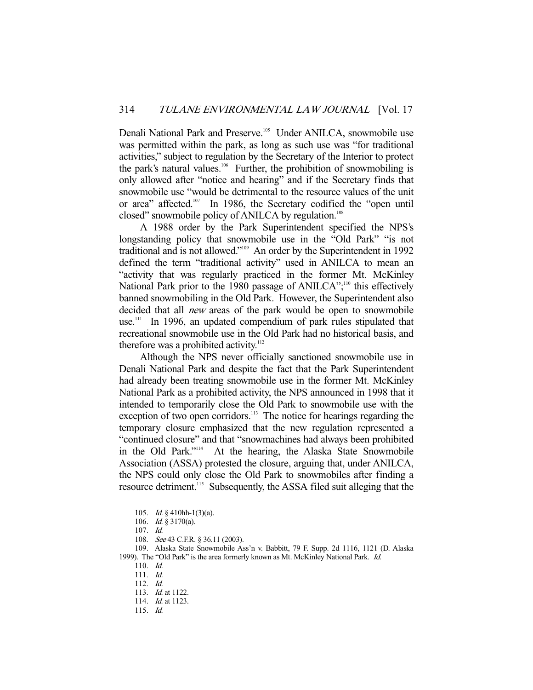Denali National Park and Preserve.<sup>105</sup> Under ANILCA, snowmobile use was permitted within the park, as long as such use was "for traditional activities," subject to regulation by the Secretary of the Interior to protect the park's natural values. $106$  Further, the prohibition of snowmobiling is only allowed after "notice and hearing" and if the Secretary finds that snowmobile use "would be detrimental to the resource values of the unit or area" affected.<sup>107</sup> In 1986, the Secretary codified the "open until closed" snowmobile policy of ANILCA by regulation.<sup>108</sup>

 A 1988 order by the Park Superintendent specified the NPS's longstanding policy that snowmobile use in the "Old Park" "is not traditional and is not allowed."109 An order by the Superintendent in 1992 defined the term "traditional activity" used in ANILCA to mean an "activity that was regularly practiced in the former Mt. McKinley National Park prior to the 1980 passage of ANILCA";<sup>110</sup> this effectively banned snowmobiling in the Old Park. However, the Superintendent also decided that all *new* areas of the park would be open to snowmobile use.<sup>111</sup> In 1996, an updated compendium of park rules stipulated that recreational snowmobile use in the Old Park had no historical basis, and therefore was a prohibited activity.<sup>112</sup>

 Although the NPS never officially sanctioned snowmobile use in Denali National Park and despite the fact that the Park Superintendent had already been treating snowmobile use in the former Mt. McKinley National Park as a prohibited activity, the NPS announced in 1998 that it intended to temporarily close the Old Park to snowmobile use with the exception of two open corridors.<sup>113</sup> The notice for hearings regarding the temporary closure emphasized that the new regulation represented a "continued closure" and that "snowmachines had always been prohibited in the Old Park."<sup>114</sup> At the hearing, the Alaska State Snowmobile Association (ASSA) protested the closure, arguing that, under ANILCA, the NPS could only close the Old Park to snowmobiles after finding a resource detriment.<sup>115</sup> Subsequently, the ASSA filed suit alleging that the

 <sup>105.</sup> Id. § 410hh-1(3)(a).

 <sup>106.</sup> Id. § 3170(a).

 <sup>107.</sup> Id.

<sup>108.</sup> See 43 C.F.R. § 36.11 (2003).

 <sup>109.</sup> Alaska State Snowmobile Ass'n v. Babbitt, 79 F. Supp. 2d 1116, 1121 (D. Alaska 1999). The "Old Park" is the area formerly known as Mt. McKinley National Park. Id.

 <sup>110.</sup> Id.

 <sup>111.</sup> Id.

 <sup>112.</sup> Id.

<sup>113.</sup> *Id.* at 1122.

 <sup>114.</sup> Id. at 1123.

 <sup>115.</sup> Id.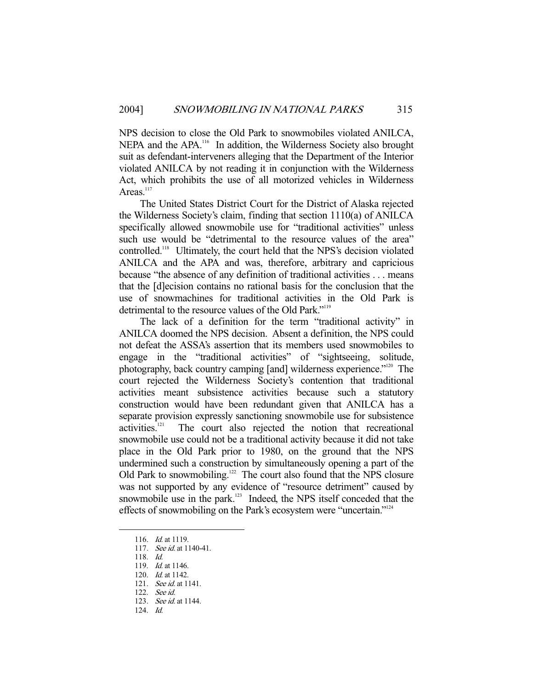NPS decision to close the Old Park to snowmobiles violated ANILCA, NEPA and the APA.<sup>116</sup> In addition, the Wilderness Society also brought suit as defendant-interveners alleging that the Department of the Interior violated ANILCA by not reading it in conjunction with the Wilderness Act, which prohibits the use of all motorized vehicles in Wilderness Areas. $117$ 

 The United States District Court for the District of Alaska rejected the Wilderness Society's claim, finding that section 1110(a) of ANILCA specifically allowed snowmobile use for "traditional activities" unless such use would be "detrimental to the resource values of the area" controlled.118 Ultimately, the court held that the NPS's decision violated ANILCA and the APA and was, therefore, arbitrary and capricious because "the absence of any definition of traditional activities . . . means that the [d]ecision contains no rational basis for the conclusion that the use of snowmachines for traditional activities in the Old Park is detrimental to the resource values of the Old Park."<sup>119</sup>

 The lack of a definition for the term "traditional activity" in ANILCA doomed the NPS decision. Absent a definition, the NPS could not defeat the ASSA's assertion that its members used snowmobiles to engage in the "traditional activities" of "sightseeing, solitude, photography, back country camping [and] wilderness experience."120 The court rejected the Wilderness Society's contention that traditional activities meant subsistence activities because such a statutory construction would have been redundant given that ANILCA has a separate provision expressly sanctioning snowmobile use for subsistence activities.121 The court also rejected the notion that recreational snowmobile use could not be a traditional activity because it did not take place in the Old Park prior to 1980, on the ground that the NPS undermined such a construction by simultaneously opening a part of the Old Park to snowmobiling.<sup>122</sup> The court also found that the NPS closure was not supported by any evidence of "resource detriment" caused by snowmobile use in the park.<sup>123</sup> Indeed, the NPS itself conceded that the effects of snowmobiling on the Park's ecosystem were "uncertain."124

118. Id.

-

122. See id.

124. Id.

 <sup>116.</sup> Id. at 1119.

 <sup>117.</sup> See id. at 1140-41.

 <sup>119.</sup> Id. at 1146.

 <sup>120.</sup> Id. at 1142.

<sup>121.</sup> *See id.* at 1141.

<sup>123.</sup> *See id.* at 1144.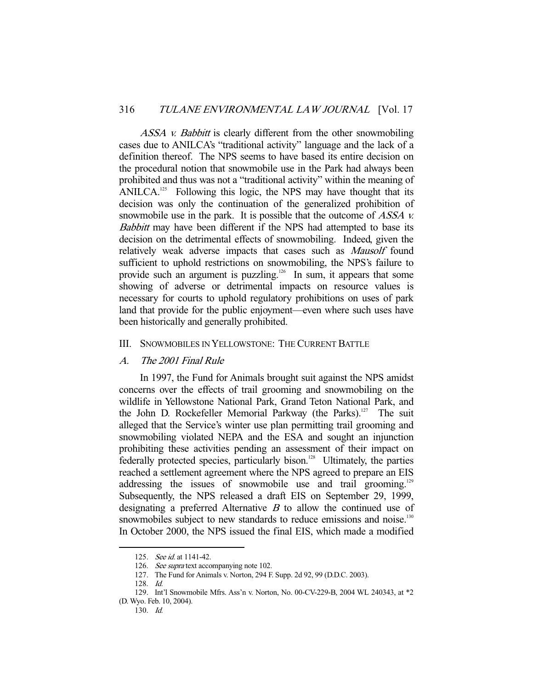ASSA v. Babbitt is clearly different from the other snowmobiling cases due to ANILCA's "traditional activity" language and the lack of a definition thereof. The NPS seems to have based its entire decision on the procedural notion that snowmobile use in the Park had always been prohibited and thus was not a "traditional activity" within the meaning of ANILCA.<sup>125</sup> Following this logic, the NPS may have thought that its decision was only the continuation of the generalized prohibition of snowmobile use in the park. It is possible that the outcome of *ASSA v.* Babbitt may have been different if the NPS had attempted to base its decision on the detrimental effects of snowmobiling. Indeed, given the relatively weak adverse impacts that cases such as Mausolf found sufficient to uphold restrictions on snowmobiling, the NPS's failure to provide such an argument is puzzling.<sup>126</sup> In sum, it appears that some showing of adverse or detrimental impacts on resource values is necessary for courts to uphold regulatory prohibitions on uses of park land that provide for the public enjoyment—even where such uses have been historically and generally prohibited.

## III. SNOWMOBILES IN YELLOWSTONE: THE CURRENT BATTLE

#### A. The 2001 Final Rule

 In 1997, the Fund for Animals brought suit against the NPS amidst concerns over the effects of trail grooming and snowmobiling on the wildlife in Yellowstone National Park, Grand Teton National Park, and the John D. Rockefeller Memorial Parkway (the Parks).<sup>127</sup> The suit alleged that the Service's winter use plan permitting trail grooming and snowmobiling violated NEPA and the ESA and sought an injunction prohibiting these activities pending an assessment of their impact on federally protected species, particularly bison.<sup>128</sup> Ultimately, the parties reached a settlement agreement where the NPS agreed to prepare an EIS addressing the issues of snowmobile use and trail grooming.<sup>129</sup> Subsequently, the NPS released a draft EIS on September 29, 1999, designating a preferred Alternative  $B$  to allow the continued use of snowmobiles subject to new standards to reduce emissions and noise.<sup>130</sup> In October 2000, the NPS issued the final EIS, which made a modified

 <sup>125.</sup> See id. at 1141-42.

<sup>126.</sup> See supra text accompanying note 102.

 <sup>127.</sup> The Fund for Animals v. Norton, 294 F. Supp. 2d 92, 99 (D.D.C. 2003).

 <sup>128.</sup> Id.

 <sup>129.</sup> Int'l Snowmobile Mfrs. Ass'n v. Norton, No. 00-CV-229-B, 2004 WL 240343, at \*2 (D. Wyo. Feb. 10, 2004).

 <sup>130.</sup> Id.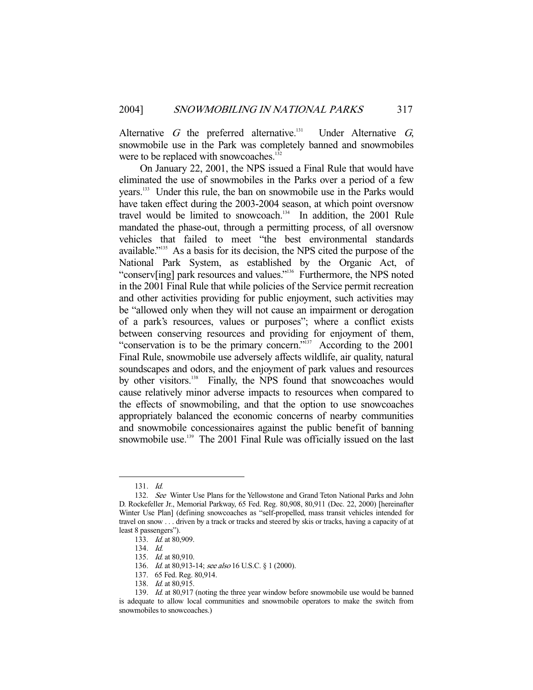Alternative  $G$  the preferred alternative.<sup>131</sup> Under Alternative  $G$ , snowmobile use in the Park was completely banned and snowmobiles were to be replaced with snowcoaches.<sup>132</sup>

 On January 22, 2001, the NPS issued a Final Rule that would have eliminated the use of snowmobiles in the Parks over a period of a few years.133 Under this rule, the ban on snowmobile use in the Parks would have taken effect during the 2003-2004 season, at which point oversnow travel would be limited to snowcoach.<sup>134</sup> In addition, the 2001 Rule mandated the phase-out, through a permitting process, of all oversnow vehicles that failed to meet "the best environmental standards available."135 As a basis for its decision, the NPS cited the purpose of the National Park System, as established by the Organic Act, of "conserv[ing] park resources and values."136 Furthermore, the NPS noted in the 2001 Final Rule that while policies of the Service permit recreation and other activities providing for public enjoyment, such activities may be "allowed only when they will not cause an impairment or derogation of a park's resources, values or purposes"; where a conflict exists between conserving resources and providing for enjoyment of them, "conservation is to be the primary concern."137 According to the 2001 Final Rule, snowmobile use adversely affects wildlife, air quality, natural soundscapes and odors, and the enjoyment of park values and resources by other visitors.<sup>138</sup> Finally, the NPS found that snowcoaches would cause relatively minor adverse impacts to resources when compared to the effects of snowmobiling, and that the option to use snowcoaches appropriately balanced the economic concerns of nearby communities and snowmobile concessionaires against the public benefit of banning snowmobile use.<sup>139</sup> The 2001 Final Rule was officially issued on the last

 <sup>131.</sup> Id.

 <sup>132.</sup> See Winter Use Plans for the Yellowstone and Grand Teton National Parks and John D. Rockefeller Jr., Memorial Parkway, 65 Fed. Reg. 80,908, 80,911 (Dec. 22, 2000) [hereinafter Winter Use Plan] (defining snowcoaches as "self-propelled, mass transit vehicles intended for travel on snow . . . driven by a track or tracks and steered by skis or tracks, having a capacity of at least 8 passengers").

 <sup>133.</sup> Id. at 80,909.

 <sup>134.</sup> Id.

 <sup>135.</sup> Id. at 80,910.

<sup>136.</sup> Id. at 80,913-14; see also 16 U.S.C. § 1 (2000).

 <sup>137. 65</sup> Fed. Reg. 80,914.

 <sup>138.</sup> Id. at 80,915.

<sup>139.</sup> Id. at 80,917 (noting the three year window before snowmobile use would be banned is adequate to allow local communities and snowmobile operators to make the switch from snowmobiles to snowcoaches.)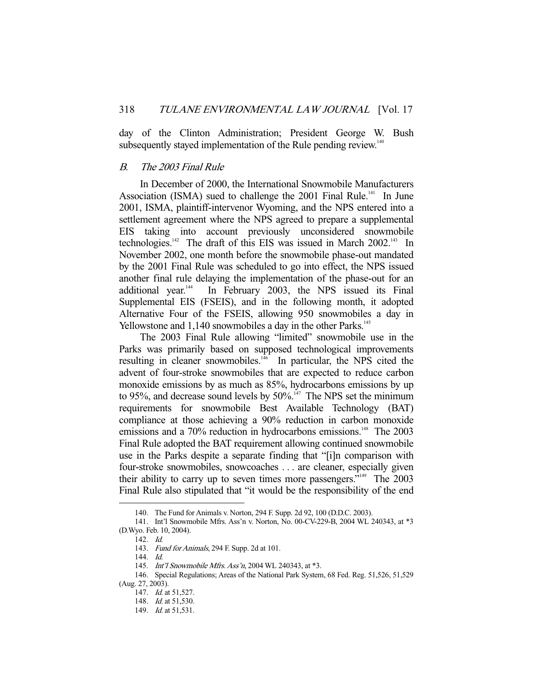day of the Clinton Administration; President George W. Bush subsequently stayed implementation of the Rule pending review.<sup>140</sup>

# B. The 2003 Final Rule

 In December of 2000, the International Snowmobile Manufacturers Association (ISMA) sued to challenge the 2001 Final Rule.<sup>141</sup> In June 2001, ISMA, plaintiff-intervenor Wyoming, and the NPS entered into a settlement agreement where the NPS agreed to prepare a supplemental EIS taking into account previously unconsidered snowmobile technologies.<sup>142</sup> The draft of this EIS was issued in March 2002.<sup>143</sup> In November 2002, one month before the snowmobile phase-out mandated by the 2001 Final Rule was scheduled to go into effect, the NPS issued another final rule delaying the implementation of the phase-out for an additional year.<sup>144</sup> In February 2003, the NPS issued its Final Supplemental EIS (FSEIS), and in the following month, it adopted Alternative Four of the FSEIS, allowing 950 snowmobiles a day in Yellowstone and 1,140 snowmobiles a day in the other Parks.<sup>145</sup>

 The 2003 Final Rule allowing "limited" snowmobile use in the Parks was primarily based on supposed technological improvements resulting in cleaner snowmobiles.<sup>146</sup> In particular, the NPS cited the advent of four-stroke snowmobiles that are expected to reduce carbon monoxide emissions by as much as 85%, hydrocarbons emissions by up to 95%, and decrease sound levels by 50%.<sup>147</sup> The NPS set the minimum requirements for snowmobile Best Available Technology (BAT) compliance at those achieving a 90% reduction in carbon monoxide emissions and a 70% reduction in hydrocarbons emissions.<sup>148</sup> The 2003 Final Rule adopted the BAT requirement allowing continued snowmobile use in the Parks despite a separate finding that "[i]n comparison with four-stroke snowmobiles, snowcoaches . . . are cleaner, especially given their ability to carry up to seven times more passengers."<sup>149</sup> The 2003 Final Rule also stipulated that "it would be the responsibility of the end

 <sup>140.</sup> The Fund for Animals v. Norton, 294 F. Supp. 2d 92, 100 (D.D.C. 2003).

 <sup>141.</sup> Int'l Snowmobile Mfrs. Ass'n v. Norton, No. 00-CV-229-B, 2004 WL 240343, at \*3 (D.Wyo. Feb. 10, 2004).

 <sup>142.</sup> Id.

 <sup>143.</sup> Fund for Animals, 294 F. Supp. 2d at 101.

 <sup>144.</sup> Id.

 <sup>145.</sup> Int'l Snowmobile Mfrs. Ass'n, 2004 WL 240343, at \*3.

 <sup>146.</sup> Special Regulations; Areas of the National Park System, 68 Fed. Reg. 51,526, 51,529 (Aug. 27, 2003).

<sup>147.</sup> *Id.* at 51,527.

 <sup>148.</sup> Id. at 51,530.

<sup>149.</sup> *Id.* at 51,531.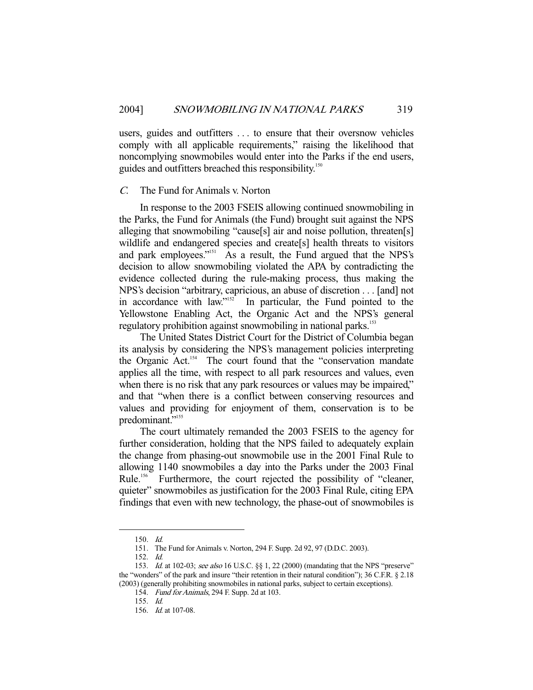users, guides and outfitters . . . to ensure that their oversnow vehicles comply with all applicable requirements," raising the likelihood that noncomplying snowmobiles would enter into the Parks if the end users, guides and outfitters breached this responsibility.<sup>150</sup>

### C. The Fund for Animals v. Norton

 In response to the 2003 FSEIS allowing continued snowmobiling in the Parks, the Fund for Animals (the Fund) brought suit against the NPS alleging that snowmobiling "cause[s] air and noise pollution, threaten[s] wildlife and endangered species and create<sup>[s]</sup> health threats to visitors and park employees."<sup>151</sup> As a result, the Fund argued that the NPS's decision to allow snowmobiling violated the APA by contradicting the evidence collected during the rule-making process, thus making the NPS's decision "arbitrary, capricious, an abuse of discretion . . . [and] not in accordance with law."<sup>152</sup> In particular, the Fund pointed to the In particular, the Fund pointed to the Yellowstone Enabling Act, the Organic Act and the NPS's general regulatory prohibition against snowmobiling in national parks.<sup>153</sup>

 The United States District Court for the District of Columbia began its analysis by considering the NPS's management policies interpreting the Organic Act.<sup>154</sup> The court found that the "conservation mandate applies all the time, with respect to all park resources and values, even when there is no risk that any park resources or values may be impaired," and that "when there is a conflict between conserving resources and values and providing for enjoyment of them, conservation is to be predominant."<sup>155</sup>

 The court ultimately remanded the 2003 FSEIS to the agency for further consideration, holding that the NPS failed to adequately explain the change from phasing-out snowmobile use in the 2001 Final Rule to allowing 1140 snowmobiles a day into the Parks under the 2003 Final Rule.<sup>156</sup> Furthermore, the court rejected the possibility of "cleaner, quieter" snowmobiles as justification for the 2003 Final Rule, citing EPA findings that even with new technology, the phase-out of snowmobiles is

-

154. Fund for Animals, 294 F. Supp. 2d at 103.

 <sup>150.</sup> Id.

 <sup>151.</sup> The Fund for Animals v. Norton, 294 F. Supp. 2d 92, 97 (D.D.C. 2003).

 <sup>152.</sup> Id.

<sup>153.</sup> Id. at 102-03; see also 16 U.S.C. §§ 1, 22 (2000) (mandating that the NPS "preserve" the "wonders" of the park and insure "their retention in their natural condition"); 36 C.F.R. § 2.18 (2003) (generally prohibiting snowmobiles in national parks, subject to certain exceptions).

 <sup>155.</sup> Id.

 <sup>156.</sup> Id. at 107-08.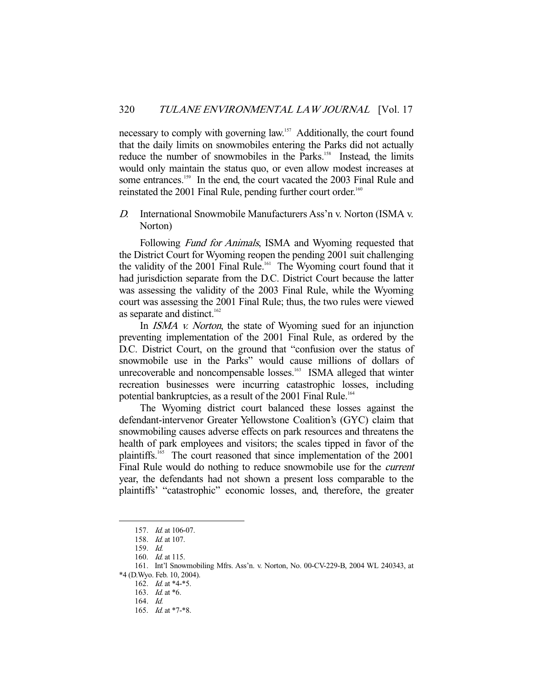necessary to comply with governing law.<sup>157</sup> Additionally, the court found that the daily limits on snowmobiles entering the Parks did not actually reduce the number of snowmobiles in the Parks.<sup>158</sup> Instead, the limits would only maintain the status quo, or even allow modest increases at some entrances.<sup>159</sup> In the end, the court vacated the 2003 Final Rule and reinstated the 2001 Final Rule, pending further court order.<sup>160</sup>

D. International Snowmobile Manufacturers Ass'n v. Norton (ISMA v. Norton)

Following *Fund for Animals*, ISMA and Wyoming requested that the District Court for Wyoming reopen the pending 2001 suit challenging the validity of the 2001 Final Rule.<sup>161</sup> The Wyoming court found that it had jurisdiction separate from the D.C. District Court because the latter was assessing the validity of the 2003 Final Rule, while the Wyoming court was assessing the 2001 Final Rule; thus, the two rules were viewed as separate and distinct. $162$ 

In *ISMA v. Norton*, the state of Wyoming sued for an injunction preventing implementation of the 2001 Final Rule, as ordered by the D.C. District Court, on the ground that "confusion over the status of snowmobile use in the Parks" would cause millions of dollars of unrecoverable and noncompensable losses.<sup>163</sup> ISMA alleged that winter recreation businesses were incurring catastrophic losses, including potential bankruptcies, as a result of the 2001 Final Rule.<sup>164</sup>

 The Wyoming district court balanced these losses against the defendant-intervenor Greater Yellowstone Coalition's (GYC) claim that snowmobiling causes adverse effects on park resources and threatens the health of park employees and visitors; the scales tipped in favor of the plaintiffs.<sup>165</sup> The court reasoned that since implementation of the 2001 Final Rule would do nothing to reduce snowmobile use for the *current* year, the defendants had not shown a present loss comparable to the plaintiffs' "catastrophic" economic losses, and, therefore, the greater

 <sup>157.</sup> Id. at 106-07.

 <sup>158.</sup> Id. at 107.

 <sup>159.</sup> Id.

 <sup>160.</sup> Id. at 115.

 <sup>161.</sup> Int'l Snowmobiling Mfrs. Ass'n. v. Norton, No. 00-CV-229-B, 2004 WL 240343, at \*4 (D.Wyo. Feb. 10, 2004).

<sup>162.</sup> *Id.* at \*4-\*5.

<sup>163.</sup> *Id.* at \*6.

 <sup>164.</sup> Id.

<sup>165.</sup> *Id.* at \*7-\*8.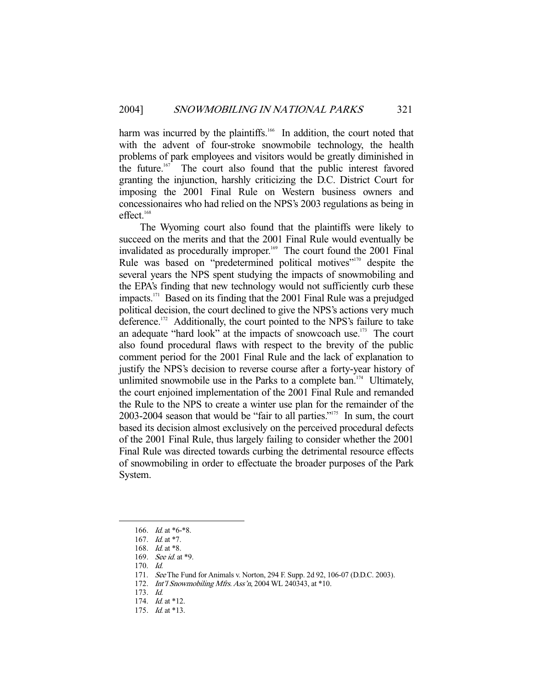harm was incurred by the plaintiffs.<sup>166</sup> In addition, the court noted that with the advent of four-stroke snowmobile technology, the health problems of park employees and visitors would be greatly diminished in the future.<sup>167</sup> The court also found that the public interest favored granting the injunction, harshly criticizing the D.C. District Court for imposing the 2001 Final Rule on Western business owners and concessionaires who had relied on the NPS's 2003 regulations as being in effect.<sup>168</sup>

 The Wyoming court also found that the plaintiffs were likely to succeed on the merits and that the 2001 Final Rule would eventually be invalidated as procedurally improper.<sup>169</sup> The court found the 2001 Final Rule was based on "predetermined political motives"<sup>170</sup> despite the several years the NPS spent studying the impacts of snowmobiling and the EPA's finding that new technology would not sufficiently curb these impacts.171 Based on its finding that the 2001 Final Rule was a prejudged political decision, the court declined to give the NPS's actions very much deference.<sup>172</sup> Additionally, the court pointed to the NPS's failure to take an adequate "hard look" at the impacts of snowcoach use.<sup>173</sup> The court also found procedural flaws with respect to the brevity of the public comment period for the 2001 Final Rule and the lack of explanation to justify the NPS's decision to reverse course after a forty-year history of unlimited snowmobile use in the Parks to a complete ban.<sup>174</sup> Ultimately, the court enjoined implementation of the 2001 Final Rule and remanded the Rule to the NPS to create a winter use plan for the remainder of the 2003-2004 season that would be "fair to all parties."175 In sum, the court based its decision almost exclusively on the perceived procedural defects of the 2001 Final Rule, thus largely failing to consider whether the 2001 Final Rule was directed towards curbing the detrimental resource effects of snowmobiling in order to effectuate the broader purposes of the Park System.

<sup>166.</sup> *Id.* at \*6-\*8.

 <sup>167.</sup> Id. at \*7.

<sup>168.</sup> *Id.* at \*8.

 <sup>169.</sup> See id. at \*9.

 <sup>170.</sup> Id.

 <sup>171.</sup> See The Fund for Animals v. Norton, 294 F. Supp. 2d 92, 106-07 (D.D.C. 2003).

 <sup>172.</sup> Int'l Snowmobiling Mfrs. Ass'n, 2004 WL 240343, at \*10.

 <sup>173.</sup> Id.

<sup>174.</sup> *Id.* at \*12.

<sup>175.</sup> *Id.* at \*13.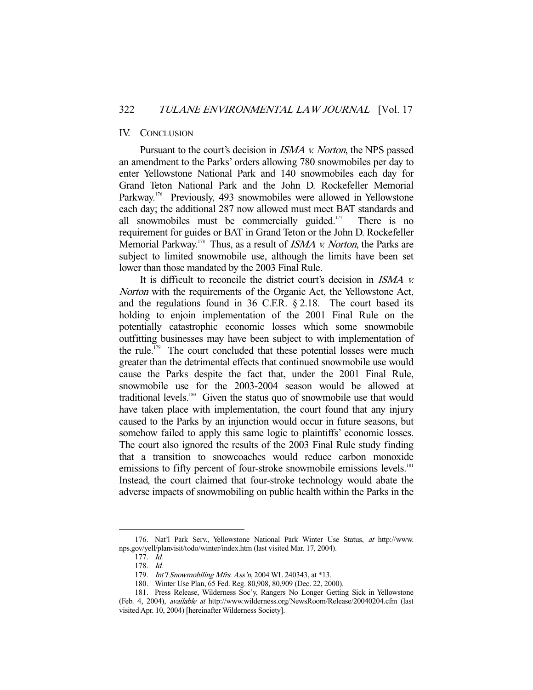#### IV. CONCLUSION

 Pursuant to the court's decision in ISMA v. Norton, the NPS passed an amendment to the Parks' orders allowing 780 snowmobiles per day to enter Yellowstone National Park and 140 snowmobiles each day for Grand Teton National Park and the John D. Rockefeller Memorial Parkway.<sup>176</sup> Previously, 493 snowmobiles were allowed in Yellowstone each day; the additional 287 now allowed must meet BAT standards and all snowmobiles must be commercially guided. $177$  There is no requirement for guides or BAT in Grand Teton or the John D. Rockefeller Memorial Parkway.<sup>178</sup> Thus, as a result of *ISMA v. Norton*, the Parks are subject to limited snowmobile use, although the limits have been set lower than those mandated by the 2003 Final Rule.

 It is difficult to reconcile the district court's decision in ISMA v. Norton with the requirements of the Organic Act, the Yellowstone Act, and the regulations found in 36 C.F.R. § 2.18. The court based its holding to enjoin implementation of the 2001 Final Rule on the potentially catastrophic economic losses which some snowmobile outfitting businesses may have been subject to with implementation of the rule.<sup>179</sup> The court concluded that these potential losses were much greater than the detrimental effects that continued snowmobile use would cause the Parks despite the fact that, under the 2001 Final Rule, snowmobile use for the 2003-2004 season would be allowed at traditional levels.<sup>180</sup> Given the status quo of snowmobile use that would have taken place with implementation, the court found that any injury caused to the Parks by an injunction would occur in future seasons, but somehow failed to apply this same logic to plaintiffs' economic losses. The court also ignored the results of the 2003 Final Rule study finding that a transition to snowcoaches would reduce carbon monoxide emissions to fifty percent of four-stroke snowmobile emissions levels.<sup>181</sup> Instead, the court claimed that four-stroke technology would abate the adverse impacts of snowmobiling on public health within the Parks in the

 <sup>176.</sup> Nat'l Park Serv., Yellowstone National Park Winter Use Status, at http://www. nps.gov/yell/planvisit/todo/winter/index.htm (last visited Mar. 17, 2004).

 <sup>177.</sup> Id.

 <sup>178.</sup> Id.

<sup>179.</sup> Int'l Snowmobiling Mfrs. Ass'n, 2004 WL 240343, at \*13.

 <sup>180.</sup> Winter Use Plan, 65 Fed. Reg. 80,908, 80,909 (Dec. 22, 2000).

 <sup>181.</sup> Press Release, Wilderness Soc'y, Rangers No Longer Getting Sick in Yellowstone (Feb. 4, 2004), available at http://www.wilderness.org/NewsRoom/Release/20040204.cfm (last visited Apr. 10, 2004) [hereinafter Wilderness Society].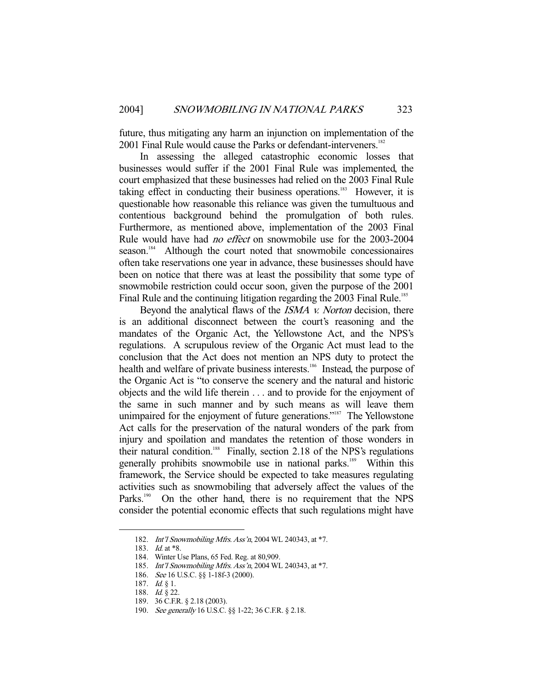future, thus mitigating any harm an injunction on implementation of the 2001 Final Rule would cause the Parks or defendant-interveners.<sup>182</sup>

 In assessing the alleged catastrophic economic losses that businesses would suffer if the 2001 Final Rule was implemented, the court emphasized that these businesses had relied on the 2003 Final Rule taking effect in conducting their business operations.<sup>183</sup> However, it is questionable how reasonable this reliance was given the tumultuous and contentious background behind the promulgation of both rules. Furthermore, as mentioned above, implementation of the 2003 Final Rule would have had no effect on snowmobile use for the 2003-2004 season.<sup>184</sup> Although the court noted that snowmobile concessionaires often take reservations one year in advance, these businesses should have been on notice that there was at least the possibility that some type of snowmobile restriction could occur soon, given the purpose of the 2001 Final Rule and the continuing litigation regarding the 2003 Final Rule.<sup>185</sup>

Beyond the analytical flaws of the *ISMA v. Norton* decision, there is an additional disconnect between the court's reasoning and the mandates of the Organic Act, the Yellowstone Act, and the NPS's regulations. A scrupulous review of the Organic Act must lead to the conclusion that the Act does not mention an NPS duty to protect the health and welfare of private business interests.<sup>186</sup> Instead, the purpose of the Organic Act is "to conserve the scenery and the natural and historic objects and the wild life therein . . . and to provide for the enjoyment of the same in such manner and by such means as will leave them unimpaired for the enjoyment of future generations."<sup>187</sup> The Yellowstone Act calls for the preservation of the natural wonders of the park from injury and spoilation and mandates the retention of those wonders in their natural condition.<sup>188</sup> Finally, section 2.18 of the NPS's regulations generally prohibits snowmobile use in national parks.<sup>189</sup> Within this framework, the Service should be expected to take measures regulating activities such as snowmobiling that adversely affect the values of the Parks.<sup>190</sup> On the other hand, there is no requirement that the NPS consider the potential economic effects that such regulations might have

 <sup>182.</sup> Int'l Snowmobiling Mfrs. Ass'n, 2004 WL 240343, at \*7.

<sup>183.</sup> *Id.* at \*8.

 <sup>184.</sup> Winter Use Plans, 65 Fed. Reg. at 80,909.

 <sup>185.</sup> Int'l Snowmobiling Mfrs. Ass'n, 2004 WL 240343, at \*7.

 <sup>186.</sup> See 16 U.S.C. §§ 1-18f-3 (2000).

 <sup>187.</sup> Id. § 1.

<sup>188.</sup> *Id.* § 22.

 <sup>189. 36</sup> C.F.R. § 2.18 (2003).

 <sup>190.</sup> See generally 16 U.S.C. §§ 1-22; 36 C.F.R. § 2.18.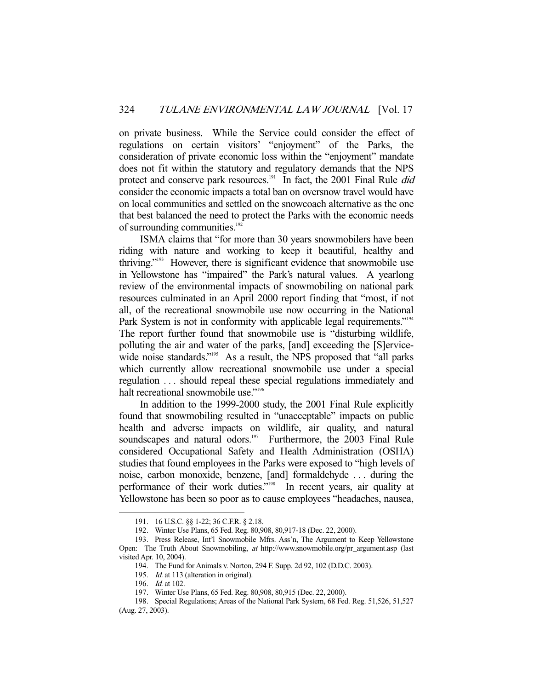on private business. While the Service could consider the effect of regulations on certain visitors' "enjoyment" of the Parks, the consideration of private economic loss within the "enjoyment" mandate does not fit within the statutory and regulatory demands that the NPS protect and conserve park resources.<sup>191</sup> In fact, the 2001 Final Rule *did* consider the economic impacts a total ban on oversnow travel would have on local communities and settled on the snowcoach alternative as the one that best balanced the need to protect the Parks with the economic needs of surrounding communities.<sup>192</sup>

 ISMA claims that "for more than 30 years snowmobilers have been riding with nature and working to keep it beautiful, healthy and thriving."193 However, there is significant evidence that snowmobile use in Yellowstone has "impaired" the Park's natural values. A yearlong review of the environmental impacts of snowmobiling on national park resources culminated in an April 2000 report finding that "most, if not all, of the recreational snowmobile use now occurring in the National Park System is not in conformity with applicable legal requirements."<sup>194</sup> The report further found that snowmobile use is "disturbing wildlife, polluting the air and water of the parks, [and] exceeding the [S]ervicewide noise standards."<sup>195</sup> As a result, the NPS proposed that "all parks" which currently allow recreational snowmobile use under a special regulation . . . should repeal these special regulations immediately and halt recreational snowmobile use."<sup>196</sup>

 In addition to the 1999-2000 study, the 2001 Final Rule explicitly found that snowmobiling resulted in "unacceptable" impacts on public health and adverse impacts on wildlife, air quality, and natural soundscapes and natural odors.<sup>197</sup> Furthermore, the 2003 Final Rule considered Occupational Safety and Health Administration (OSHA) studies that found employees in the Parks were exposed to "high levels of noise, carbon monoxide, benzene, [and] formaldehyde . . . during the performance of their work duties."198 In recent years, air quality at Yellowstone has been so poor as to cause employees "headaches, nausea,

 <sup>191. 16</sup> U.S.C. §§ 1-22; 36 C.F.R. § 2.18.

 <sup>192.</sup> Winter Use Plans, 65 Fed. Reg. 80,908, 80,917-18 (Dec. 22, 2000).

 <sup>193.</sup> Press Release, Int'l Snowmobile Mfrs. Ass'n, The Argument to Keep Yellowstone Open: The Truth About Snowmobiling, at http://www.snowmobile.org/pr\_argument.asp (last visited Apr. 10, 2004).

 <sup>194.</sup> The Fund for Animals v. Norton, 294 F. Supp. 2d 92, 102 (D.D.C. 2003).

<sup>195.</sup> Id. at 113 (alteration in original).

<sup>196.</sup> *Id.* at 102.

 <sup>197.</sup> Winter Use Plans, 65 Fed. Reg. 80,908, 80,915 (Dec. 22, 2000).

 <sup>198.</sup> Special Regulations; Areas of the National Park System, 68 Fed. Reg. 51,526, 51,527 (Aug. 27, 2003).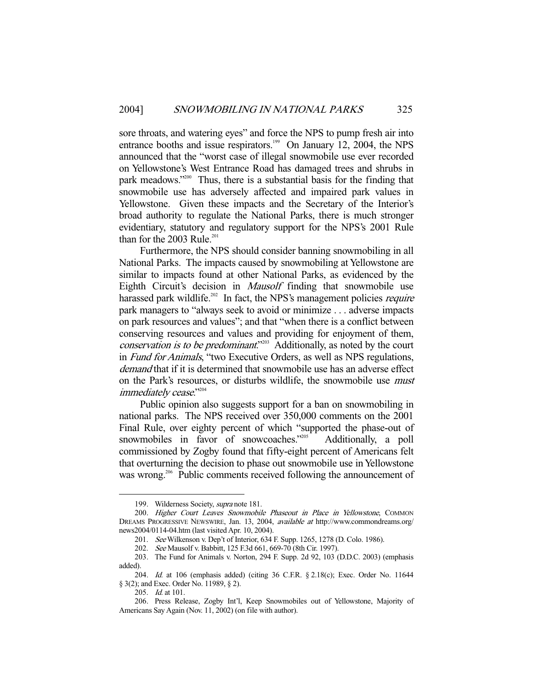sore throats, and watering eyes" and force the NPS to pump fresh air into entrance booths and issue respirators.<sup>199</sup> On January 12, 2004, the NPS announced that the "worst case of illegal snowmobile use ever recorded on Yellowstone's West Entrance Road has damaged trees and shrubs in park meadows."200 Thus, there is a substantial basis for the finding that snowmobile use has adversely affected and impaired park values in Yellowstone. Given these impacts and the Secretary of the Interior's broad authority to regulate the National Parks, there is much stronger evidentiary, statutory and regulatory support for the NPS's 2001 Rule than for the 2003 Rule.<sup>201</sup>

 Furthermore, the NPS should consider banning snowmobiling in all National Parks. The impacts caused by snowmobiling at Yellowstone are similar to impacts found at other National Parks, as evidenced by the Eighth Circuit's decision in Mausolf finding that snowmobile use harassed park wildlife.<sup>202</sup> In fact, the NPS's management policies *require* park managers to "always seek to avoid or minimize . . . adverse impacts on park resources and values"; and that "when there is a conflict between conserving resources and values and providing for enjoyment of them, conservation is to be predominant.<sup>"203</sup> Additionally, as noted by the court in Fund for Animals, "two Executive Orders, as well as NPS regulations, demand that if it is determined that snowmobile use has an adverse effect on the Park's resources, or disturbs wildlife, the snowmobile use must immediately cease."204

 Public opinion also suggests support for a ban on snowmobiling in national parks. The NPS received over 350,000 comments on the 2001 Final Rule, over eighty percent of which "supported the phase-out of snowmobiles in favor of snowcoaches."<sup>205</sup> Additionally, a poll commissioned by Zogby found that fifty-eight percent of Americans felt that overturning the decision to phase out snowmobile use in Yellowstone was wrong.<sup>206</sup> Public comments received following the announcement of

 <sup>199.</sup> Wilderness Society, supra note 181.

 <sup>200.</sup> Higher Court Leaves Snowmobile Phaseout in Place in Yellowstone, COMMON DREAMS PROGRESSIVE NEWSWIRE, Jan. 13, 2004, available at http://www.commondreams.org/ news2004/0114-04.htm (last visited Apr. 10, 2004).

 <sup>201.</sup> See Wilkenson v. Dep't of Interior, 634 F. Supp. 1265, 1278 (D. Colo. 1986).

 <sup>202.</sup> See Mausolf v. Babbitt, 125 F.3d 661, 669-70 (8th Cir. 1997).

 <sup>203.</sup> The Fund for Animals v. Norton, 294 F. Supp. 2d 92, 103 (D.D.C. 2003) (emphasis added).

 <sup>204.</sup> Id. at 106 (emphasis added) (citing 36 C.F.R. § 2.18(c); Exec. Order No. 11644 § 3(2); and Exec. Order No. 11989, § 2).

<sup>205.</sup> *Id.* at 101.

 <sup>206.</sup> Press Release, Zogby Int'l, Keep Snowmobiles out of Yellowstone, Majority of Americans Say Again (Nov. 11, 2002) (on file with author).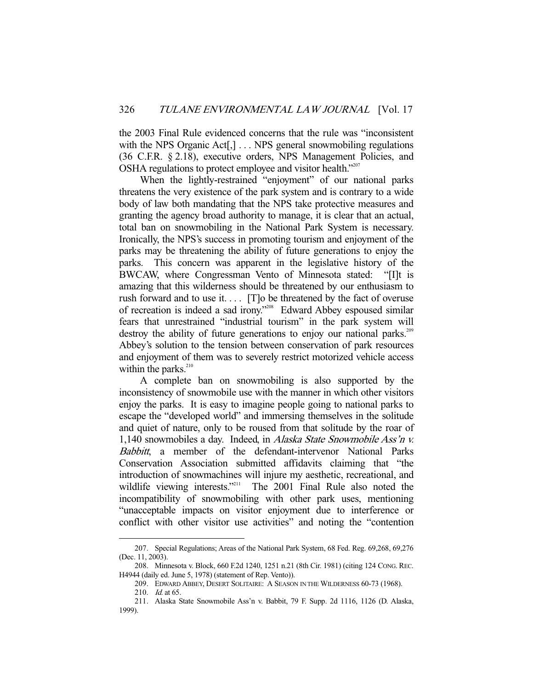the 2003 Final Rule evidenced concerns that the rule was "inconsistent with the NPS Organic Act[,] . . . NPS general snowmobiling regulations (36 C.F.R. § 2.18), executive orders, NPS Management Policies, and OSHA regulations to protect employee and visitor health."207

When the lightly-restrained "enjoyment" of our national parks threatens the very existence of the park system and is contrary to a wide body of law both mandating that the NPS take protective measures and granting the agency broad authority to manage, it is clear that an actual, total ban on snowmobiling in the National Park System is necessary. Ironically, the NPS's success in promoting tourism and enjoyment of the parks may be threatening the ability of future generations to enjoy the parks. This concern was apparent in the legislative history of the BWCAW, where Congressman Vento of Minnesota stated: "[I]t is amazing that this wilderness should be threatened by our enthusiasm to rush forward and to use it. . . . [T]o be threatened by the fact of overuse of recreation is indeed a sad irony."208 Edward Abbey espoused similar fears that unrestrained "industrial tourism" in the park system will destroy the ability of future generations to enjoy our national parks.<sup>209</sup> Abbey's solution to the tension between conservation of park resources and enjoyment of them was to severely restrict motorized vehicle access within the parks.<sup>210</sup>

 A complete ban on snowmobiling is also supported by the inconsistency of snowmobile use with the manner in which other visitors enjoy the parks. It is easy to imagine people going to national parks to escape the "developed world" and immersing themselves in the solitude and quiet of nature, only to be roused from that solitude by the roar of 1,140 snowmobiles a day. Indeed, in Alaska State Snowmobile Ass'n v. Babbitt, a member of the defendant-intervenor National Parks Conservation Association submitted affidavits claiming that "the introduction of snowmachines will injure my aesthetic, recreational, and wildlife viewing interests."<sup>211</sup> The 2001 Final Rule also noted the incompatibility of snowmobiling with other park uses, mentioning "unacceptable impacts on visitor enjoyment due to interference or conflict with other visitor use activities" and noting the "contention

 <sup>207.</sup> Special Regulations; Areas of the National Park System, 68 Fed. Reg. 69,268, 69,276 (Dec. 11, 2003).

 <sup>208.</sup> Minnesota v. Block, 660 F.2d 1240, 1251 n.21 (8th Cir. 1981) (citing 124 CONG. REC. H4944 (daily ed. June 5, 1978) (statement of Rep. Vento)).

 <sup>209.</sup> EDWARD ABBEY, DESERT SOLITAIRE: A SEASON IN THE WILDERNESS 60-73 (1968).

<sup>210.</sup> *Id.* at 65.

 <sup>211.</sup> Alaska State Snowmobile Ass'n v. Babbit, 79 F. Supp. 2d 1116, 1126 (D. Alaska, 1999).